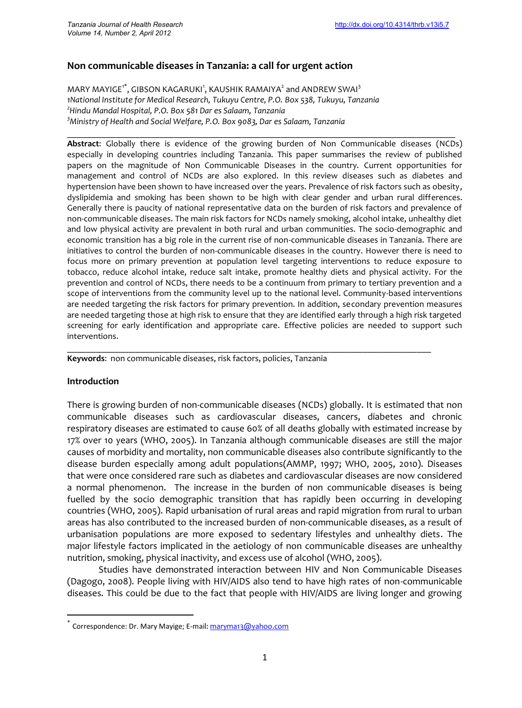## **Non communicable diseases in Tanzania: a call for urgent action**

 $\,$  MARY MAYIGE $^{\text{1*}}$ , GIBSON KAGARUKI $^{\text{1}}$ , KAUSHIK RAMAIYA $^{\text{2}}$  and ANDREW SWAI $^{\text{3}}$ *1National Institute for Medical Research, Tukuyu Centre, P.O. Box 538, Tukuyu, Tanzania 2 Hindu Mandal Hospital, P.O. Box 581 Dar es Salaam, Tanzania <sup>3</sup>Ministry of Health and Social Welfare, P.O. Box 9083, Dar es Salaam, Tanzania*

\_\_\_\_\_\_\_\_\_\_\_\_\_\_\_\_\_\_\_\_\_\_\_\_\_\_\_\_\_\_\_\_\_\_\_\_\_\_\_\_\_\_\_\_\_\_\_\_\_\_\_\_\_\_\_\_\_\_\_\_\_\_\_\_\_\_\_\_\_\_\_\_\_\_\_\_\_\_\_\_ **Abstract**: Globally there is evidence of the growing burden of Non Communicable diseases (NCDs) especially in developing countries including Tanzania. This paper summarises the review of published papers on the magnitude of Non Communicable Diseases in the country. Current opportunities for management and control of NCDs are also explored. In this review diseases such as diabetes and hypertension have been shown to have increased over the years. Prevalence of risk factors such as obesity, dyslipidemia and smoking has been shown to be high with clear gender and urban rural differences. Generally there is paucity of national representative data on the burden of risk factors and prevalence of non-communicable diseases. The main risk factors for NCDs namely smoking, alcohol intake, unhealthy diet and low physical activity are prevalent in both rural and urban communities. The socio-demographic and economic transition has a big role in the current rise of non-communicable diseases in Tanzania. There are initiatives to control the burden of non-communicable diseases in the country. However there is need to focus more on primary prevention at population level targeting interventions to reduce exposure to tobacco, reduce alcohol intake, reduce salt intake, promote healthy diets and physical activity. For the prevention and control of NCDs, there needs to be a continuum from primary to tertiary prevention and a scope of interventions from the community level up to the national level. Community-based interventions are needed targeting the risk factors for primary prevention. In addition, secondary prevention measures are needed targeting those at high risk to ensure that they are identified early through a high risk targeted screening for early identification and appropriate care. Effective policies are needed to support such interventions.

\_\_\_\_\_\_\_\_\_\_\_\_\_\_\_\_\_\_\_\_\_\_\_\_\_\_\_\_\_\_\_\_\_\_\_\_\_\_\_\_\_\_\_\_\_\_\_\_\_\_\_\_\_\_\_\_\_\_\_\_\_\_\_\_\_\_\_\_\_\_\_\_\_\_\_

**Keywords**: non communicable diseases, risk factors, policies, Tanzania

## **Introduction**

There is growing burden of non-communicable diseases (NCDs) globally. It is estimated that non communicable diseases such as cardiovascular diseases, cancers, diabetes and chronic respiratory diseases are estimated to cause 60% of all deaths globally with estimated increase by 17% over 10 years (WHO, 2005). In Tanzania although communicable diseases are still the major causes of morbidity and mortality, non communicable diseases also contribute significantly to the disease burden especially among adult populations(AMMP, 1997; WHO, 2005, 2010). Diseases that were once considered rare such as diabetes and cardiovascular diseases are now considered a normal phenomenon. The increase in the burden of non communicable diseases is being fuelled by the socio demographic transition that has rapidly been occurring in developing countries (WHO, 2005). Rapid urbanisation of rural areas and rapid migration from rural to urban areas has also contributed to the increased burden of non-communicable diseases, as a result of urbanisation populations are more exposed to sedentary lifestyles and unhealthy diets. The major lifestyle factors implicated in the aetiology of non communicable diseases are unhealthy nutrition, smoking, physical inactivity, and excess use of alcohol (WHO, 2005).

Studies have demonstrated interaction between HIV and Non Communicable Diseases (Dagogo, 2008). People living with HIV/AIDS also tend to have high rates of non-communicable diseases. This could be due to the fact that people with HIV/AIDS are living longer and growing

<sup>\*</sup> Correspondence: Dr. Mary Mayige; E-mail: maryma13@yahoo.com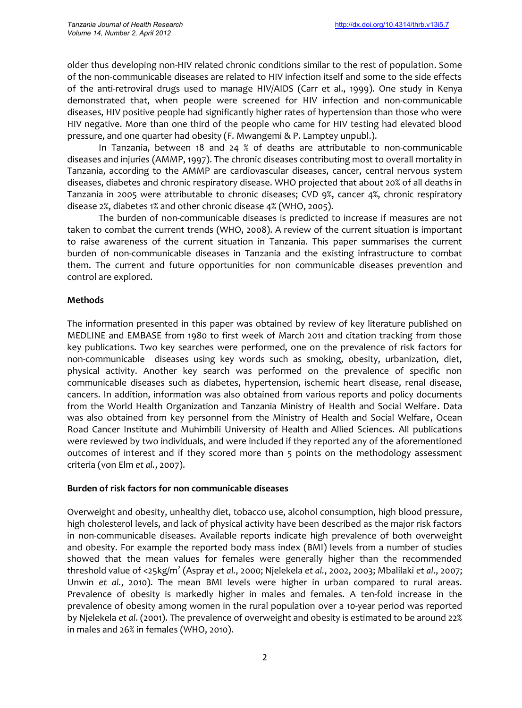older thus developing non-HIV related chronic conditions similar to the rest of population. Some of the non-communicable diseases are related to HIV infection itself and some to the side effects of the anti-retroviral drugs used to manage HIV/AIDS (Carr et al., 1999). One study in Kenya demonstrated that, when people were screened for HIV infection and non-communicable diseases, HIV positive people had significantly higher rates of hypertension than those who were HIV negative. More than one third of the people who came for HIV testing had elevated blood pressure, and one quarter had obesity (F. Mwangemi & P. Lamptey unpubl.).

In Tanzania, between 18 and 24 % of deaths are attributable to non-communicable diseases and injuries (AMMP, 1997). The chronic diseases contributing most to overall mortality in Tanzania, according to the AMMP are cardiovascular diseases, cancer, central nervous system diseases, diabetes and chronic respiratory disease. WHO projected that about 20% of all deaths in Tanzania in 2005 were attributable to chronic diseases; CVD 9%, cancer 4%, chronic respiratory disease 2%, diabetes 1% and other chronic disease 4% (WHO, 2005).

The burden of non-communicable diseases is predicted to increase if measures are not taken to combat the current trends (WHO, 2008). A review of the current situation is important to raise awareness of the current situation in Tanzania. This paper summarises the current burden of non-communicable diseases in Tanzania and the existing infrastructure to combat them. The current and future opportunities for non communicable diseases prevention and control are explored.

## **Methods**

The information presented in this paper was obtained by review of key literature published on MEDLINE and EMBASE from 1980 to first week of March 2011 and citation tracking from those key publications. Two key searches were performed, one on the prevalence of risk factors for non-communicable diseases using key words such as smoking, obesity, urbanization, diet, physical activity. Another key search was performed on the prevalence of specific non communicable diseases such as diabetes, hypertension, ischemic heart disease, renal disease, cancers. In addition, information was also obtained from various reports and policy documents from the World Health Organization and Tanzania Ministry of Health and Social Welfare. Data was also obtained from key personnel from the Ministry of Health and Social Welfare, Ocean Road Cancer Institute and Muhimbili University of Health and Allied Sciences. All publications were reviewed by two individuals, and were included if they reported any of the aforementioned outcomes of interest and if they scored more than 5 points on the methodology assessment criteria (von Elm *et al.*, 2007).

## **Burden of risk factors for non communicable diseases**

Overweight and obesity, unhealthy diet, tobacco use, alcohol consumption, high blood pressure, high cholesterol levels, and lack of physical activity have been described as the major risk factors in non-communicable diseases. Available reports indicate high prevalence of both overweight and obesity. For example the reported body mass index (BMI) levels from a number of studies showed that the mean values for females were generally higher than the recommended threshold value of <25kg/m<sup>2</sup> (Aspray *et al.*, 2000; Njelekela *et al.*, 2002, 2003; Mbalilaki *et al.*, 2007; Unwin *et al.*, 2010). The mean BMI levels were higher in urban compared to rural areas. Prevalence of obesity is markedly higher in males and females. A ten-fold increase in the prevalence of obesity among women in the rural population over a 10-year period was reported by Njelekela *et al*. (2001). The prevalence of overweight and obesity is estimated to be around 22% in males and 26% in females (WHO, 2010).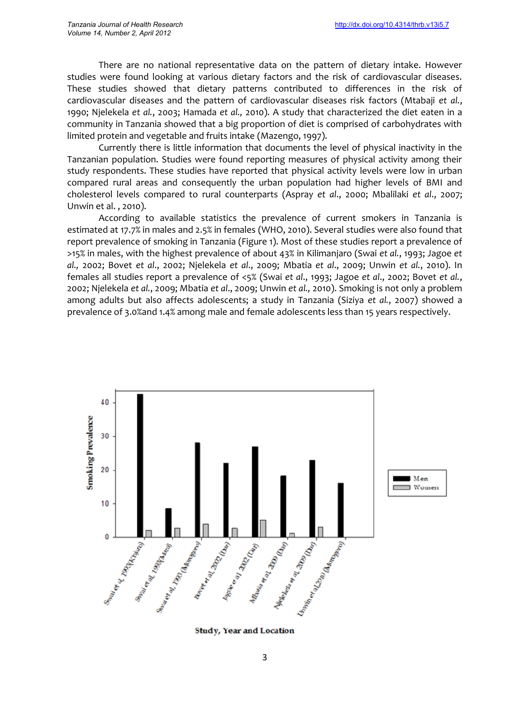There are no national representative data on the pattern of dietary intake. However studies were found looking at various dietary factors and the risk of cardiovascular diseases. These studies showed that dietary patterns contributed to differences in the risk of cardiovascular diseases and the pattern of cardiovascular diseases risk factors (Mtabaji *et al.*, 1990; Njelekela *et al.*, 2003; Hamada *et al.,* 2010). A study that characterized the diet eaten in a community in Tanzania showed that a big proportion of diet is comprised of carbohydrates with limited protein and vegetable and fruits intake (Mazengo, 1997).

Currently there is little information that documents the level of physical inactivity in the Tanzanian population. Studies were found reporting measures of physical activity among their study respondents. These studies have reported that physical activity levels were low in urban compared rural areas and consequently the urban population had higher levels of BMI and cholesterol levels compared to rural counterparts (Aspray *et al*., 2000; Mbalilaki *et al*., 2007; Unwin et al. , 2010).

According to available statistics the prevalence of current smokers in Tanzania is estimated at 17.7% in males and 2.5% in females (WHO, 2010). Several studies were also found that report prevalence of smoking in Tanzania (Figure 1). Most of these studies report a prevalence of >15% in males, with the highest prevalence of about 43% in Kilimanjaro (Swai *et al.*, 1993; Jagoe *et al.,* 2002; Bovet *et al*., 2002; Njelekela *et al*., 2009; Mbatia *et al*., 2009; Unwin *et al.*, 2010). In females all studies report a prevalence of <5% (Swai *et al*., 1993; Jagoe *et al*., 2002; Bovet *et al.*, 2002; Njelekela *et al.*, 2009; Mbatia *et al*., 2009; Unwin *et al.,* 2010). Smoking is not only a problem among adults but also affects adolescents; a study in Tanzania (Siziya *et al.*, 2007) showed a prevalence of 3.0%and 1.4% among male and female adolescents less than 15 years respectively.



**Study, Year and Location**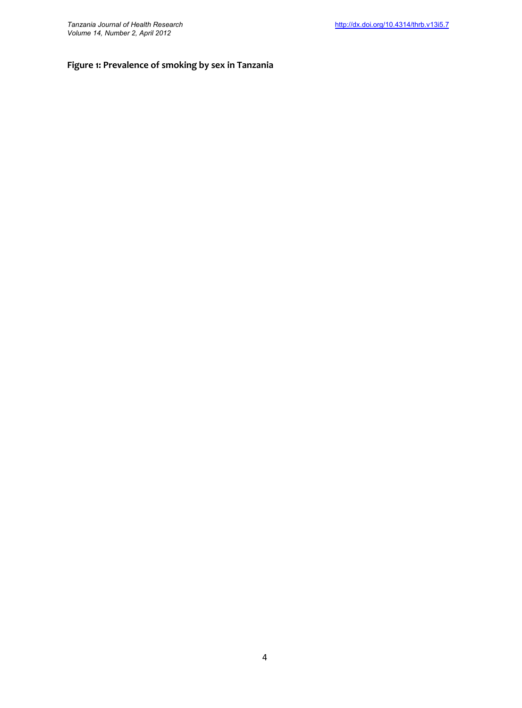# **Figure 1: Prevalence of smoking by sex in Tanzania**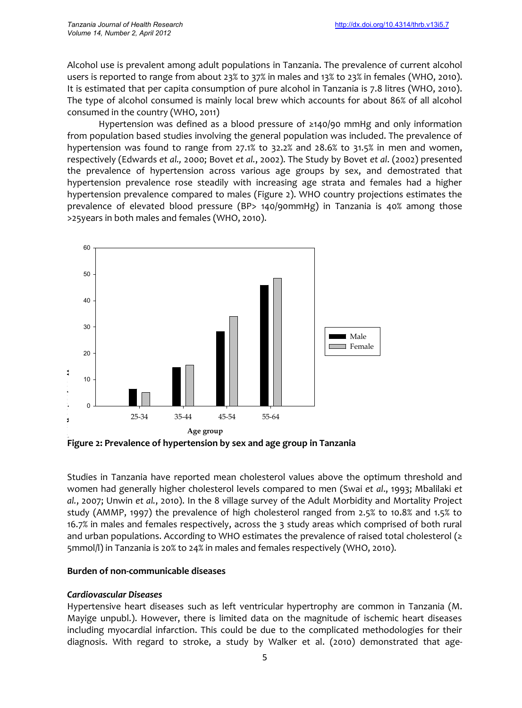Alcohol use is prevalent among adult populations in Tanzania. The prevalence of current alcohol users is reported to range from about 23% to 37% in males and 13% to 23% in females (WHO, 2010). It is estimated that per capita consumption of pure alcohol in Tanzania is 7.8 litres (WHO, 2010). The type of alcohol consumed is mainly local brew which accounts for about 86% of all alcohol consumed in the country (WHO, 2011)

Hypertension was defined as a blood pressure of ≥140/90 mmHg and only information from population based studies involving the general population was included. The prevalence of hypertension was found to range from 27.1% to 32.2% and 28.6% to 31.5% in men and women, respectively (Edwards *et al.,* 2000; Bovet *et al.*, 2002). The Study by Bovet *et al*. (2002) presented the prevalence of hypertension across various age groups by sex, and demostrated that hypertension prevalence rose steadily with increasing age strata and females had a higher hypertension prevalence compared to males (Figure 2). WHO country projections estimates the prevalence of elevated blood pressure (BP> 140/90mmHg) in Tanzania is 40% among those >25years in both males and females (WHO, 2010).



**Figure 2: Prevalence of hypertension by sex and age group in Tanzania**

Studies in Tanzania have reported mean cholesterol values above the optimum threshold and women had generally higher cholesterol levels compared to men (Swai *et al*., 1993; Mbalilaki *et al.*, 2007; Unwin *et al.*, 2010). In the 8 village survey of the Adult Morbidity and Mortality Project study (AMMP, 1997) the prevalence of high cholesterol ranged from 2.5% to 10.8% and 1.5% to 16.7% in males and females respectively, across the 3 study areas which comprised of both rural and urban populations. According to WHO estimates the prevalence of raised total cholesterol (≥ 5mmol/l) in Tanzania is 20% to 24% in males and females respectively (WHO, 2010).

#### **Burden of non-communicable diseases**

## *Cardiovascular Diseases*

Hypertensive heart diseases such as left ventricular hypertrophy are common in Tanzania (M. Mayige unpubl.). However, there is limited data on the magnitude of ischemic heart diseases including myocardial infarction. This could be due to the complicated methodologies for their diagnosis. With regard to stroke, a study by Walker et al. (2010) demonstrated that age-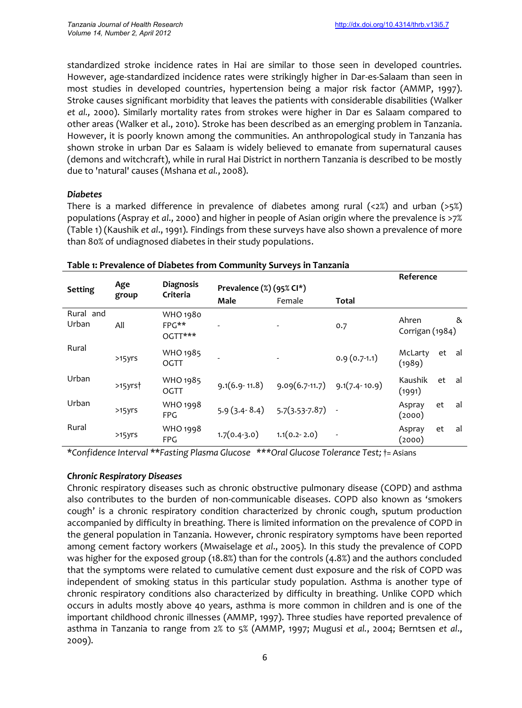standardized stroke incidence rates in Hai are similar to those seen in developed countries. However, age-standardized incidence rates were strikingly higher in Dar-es-Salaam than seen in most studies in developed countries, hypertension being a major risk factor (AMMP, 1997). Stroke causes significant morbidity that leaves the patients with considerable disabilities (Walker *et al.,* 2000). Similarly mortality rates from strokes were higher in Dar es Salaam compared to other areas (Walker et al., 2010). Stroke has been described as an emerging problem in Tanzania. However, it is poorly known among the communities. An anthropological study in Tanzania has shown stroke in urban Dar es Salaam is widely believed to emanate from supernatural causes (demons and witchcraft), while in rural Hai District in northern Tanzania is described to be mostly due to 'natural' causes (Mshana *et al.*, 2008).

### *Diabetes*

There is a marked difference in prevalence of diabetes among rural (<2%) and urban (>5%) populations (Aspray *et al*., 2000) and higher in people of Asian origin where the prevalence is >7% (Table 1) (Kaushik *et al*., 1991). Findings from these surveys have also shown a prevalence of more than 80% of undiagnosed diabetes in their study populations.

|                    |              |                                       |                          |                    |                          | Reference                |    |    |
|--------------------|--------------|---------------------------------------|--------------------------|--------------------|--------------------------|--------------------------|----|----|
| <b>Setting</b>     | Age<br>group | <b>Diagnosis</b><br>Criteria          | Prevalence (%) (95% CI*) |                    |                          |                          |    |    |
|                    |              |                                       | Male                     | Female             | Total                    |                          |    |    |
| Rural and<br>Urban | All          | <b>WHO 1980</b><br>FPG**<br>$OGTT***$ | $\overline{\phantom{a}}$ |                    | 0.7                      | Ahren<br>Corrigan (1984) |    | &  |
| Rural              | >15yrs       | WHO 1985<br>OGTT                      |                          |                    | $0.9(0.7-1.1)$           | McLarty<br>(1989)        | et | al |
| Urban              | >15yrst      | WHO 1985<br>OGTT                      | $9.1(6.9 - 11.8)$        | $9.09(6.7-11.7)$   | $9.1(7.4-10.9)$          | Kaushik<br>(1991)        | et | al |
| Urban              | >15yrs       | <b>WHO 1998</b><br>FPG                | $5.9(3.4-8.4)$           | $5.7(3.53 - 7.87)$ |                          | Aspray<br>(2000)         | et | al |
| Rural              | >15yrs       | <b>WHO 1998</b><br>FPG                | $1.7(0.4-3.0)$           | $1.1(0.2 - 2.0)$   | $\overline{\phantom{a}}$ | Aspray<br>(2000)         | et | al |

#### **Table 1: Prevalence of Diabetes from Community Surveys in Tanzania**

\**Confidence Interval* \*\**Fasting Plasma Glucose \*\*\*Oral Glucose Tolerance Test;* †= Asians

#### *Chronic Respiratory Diseases*

Chronic respiratory diseases such as chronic obstructive pulmonary disease (COPD) and asthma also contributes to the burden of non-communicable diseases. COPD also known as 'smokers cough' is a chronic respiratory condition characterized by chronic cough, sputum production accompanied by difficulty in breathing. There is limited information on the prevalence of COPD in the general population in Tanzania. However, chronic respiratory symptoms have been reported among cement factory workers (Mwaiselage *et al*., 2005). In this study the prevalence of COPD was higher for the exposed group (18.8%) than for the controls (4.8%) and the authors concluded that the symptoms were related to cumulative cement dust exposure and the risk of COPD was independent of smoking status in this particular study population. Asthma is another type of chronic respiratory conditions also characterized by difficulty in breathing. Unlike COPD which occurs in adults mostly above 40 years, asthma is more common in children and is one of the important childhood chronic illnesses (AMMP, 1997). Three studies have reported prevalence of asthma in Tanzania to range from 2% to 5% (AMMP, 1997; Mugusi *et al.*, 2004; Berntsen *et al*., 2009).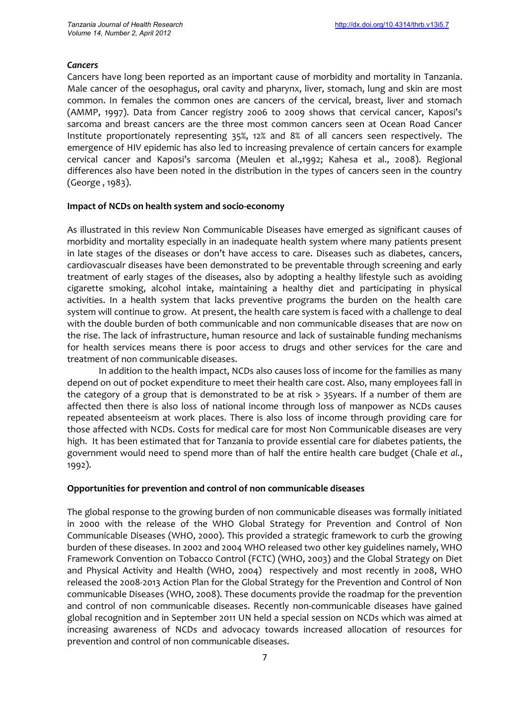## *Cancers*

Cancers have long been reported as an important cause of morbidity and mortality in Tanzania. Male cancer of the oesophagus, oral cavity and pharynx, liver, stomach, lung and skin are most common. In females the common ones are cancers of the cervical, breast, liver and stomach (AMMP, 1997). Data from Cancer registry 2006 to 2009 shows that cervical cancer, Kaposi's sarcoma and breast cancers are the three most common cancers seen at Ocean Road Cancer Institute proportionately representing 35%, 12% and 8% of all cancers seen respectively. The emergence of HIV epidemic has also led to increasing prevalence of certain cancers for example cervical cancer and Kaposi's sarcoma (Meulen et al.,1992; Kahesa et al., 2008). Regional differences also have been noted in the distribution in the types of cancers seen in the country (George , 1983).

## **Impact of NCDs on health system and socio-economy**

As illustrated in this review Non Communicable Diseases have emerged as significant causes of morbidity and mortality especially in an inadequate health system where many patients present in late stages of the diseases or don't have access to care. Diseases such as diabetes, cancers, cardiovascualr diseases have been demonstrated to be preventable through screening and early treatment of early stages of the diseases, also by adopting a healthy lifestyle such as avoiding cigarette smoking, alcohol intake, maintaining a healthy diet and participating in physical activities. In a health system that lacks preventive programs the burden on the health care system will continue to grow. At present, the health care system is faced with a challenge to deal with the double burden of both communicable and non communicable diseases that are now on the rise. The lack of infrastructure, human resource and lack of sustainable funding mechanisms for health services means there is poor access to drugs and other services for the care and treatment of non communicable diseases.

In addition to the health impact, NCDs also causes loss of income for the families as many depend on out of pocket expenditure to meet their health care cost. Also, many employees fall in the category of a group that is demonstrated to be at risk  $>$  35years. If a number of them are affected then there is also loss of national income through loss of manpower as NCDs causes repeated absenteeism at work places. There is also loss of income through providing care for those affected with NCDs. Costs for medical care for most Non Communicable diseases are very high. It has been estimated that for Tanzania to provide essential care for diabetes patients, the government would need to spend more than of half the entire health care budget (Chale *et al.*, 1992).

## **Opportunities for prevention and control of non communicable diseases**

The global response to the growing burden of non communicable diseases was formally initiated in 2000 with the release of the WHO Global Strategy for Prevention and Control of Non Communicable Diseases (WHO, 2000). This provided a strategic framework to curb the growing burden of these diseases. In 2002 and 2004 WHO released two other key guidelines namely, WHO Framework Convention on Tobacco Control (FCTC) (WHO, 2003) and the Global Strategy on Diet and Physical Activity and Health (WHO, 2004) respectively and most recently in 2008, WHO released the 2008-2013 Action Plan for the Global Strategy for the Prevention and Control of Non communicable Diseases (WHO, 2008). These documents provide the roadmap for the prevention and control of non communicable diseases. Recently non-communicable diseases have gained global recognition and in September 2011 UN held a special session on NCDs which was aimed at increasing awareness of NCDs and advocacy towards increased allocation of resources for prevention and control of non communicable diseases.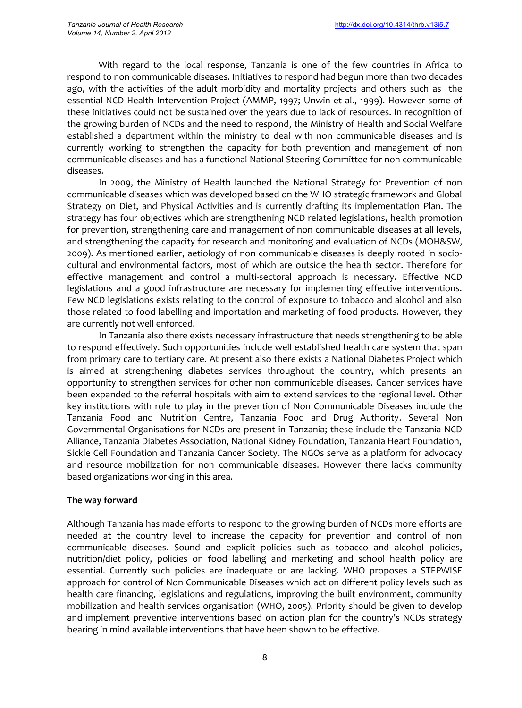With regard to the local response, Tanzania is one of the few countries in Africa to respond to non communicable diseases. Initiatives to respond had begun more than two decades ago, with the activities of the adult morbidity and mortality projects and others such as the essential NCD Health Intervention Project (AMMP, 1997; Unwin et al., 1999). However some of these initiatives could not be sustained over the years due to lack of resources. In recognition of the growing burden of NCDs and the need to respond, the Ministry of Health and Social Welfare established a department within the ministry to deal with non communicable diseases and is currently working to strengthen the capacity for both prevention and management of non communicable diseases and has a functional National Steering Committee for non communicable diseases.

In 2009, the Ministry of Health launched the National Strategy for Prevention of non communicable diseases which was developed based on the WHO strategic framework and Global Strategy on Diet, and Physical Activities and is currently drafting its implementation Plan. The strategy has four objectives which are strengthening NCD related legislations, health promotion for prevention, strengthening care and management of non communicable diseases at all levels, and strengthening the capacity for research and monitoring and evaluation of NCDs (MOH&SW, 2009). As mentioned earlier, aetiology of non communicable diseases is deeply rooted in sociocultural and environmental factors, most of which are outside the health sector. Therefore for effective management and control a multi-sectoral approach is necessary. Effective NCD legislations and a good infrastructure are necessary for implementing effective interventions. Few NCD legislations exists relating to the control of exposure to tobacco and alcohol and also those related to food labelling and importation and marketing of food products. However, they are currently not well enforced.

In Tanzania also there exists necessary infrastructure that needs strengthening to be able to respond effectively. Such opportunities include well established health care system that span from primary care to tertiary care. At present also there exists a National Diabetes Project which is aimed at strengthening diabetes services throughout the country, which presents an opportunity to strengthen services for other non communicable diseases. Cancer services have been expanded to the referral hospitals with aim to extend services to the regional level. Other key institutions with role to play in the prevention of Non Communicable Diseases include the Tanzania Food and Nutrition Centre, Tanzania Food and Drug Authority. Several Non Governmental Organisations for NCDs are present in Tanzania; these include the Tanzania NCD Alliance, Tanzania Diabetes Association, National Kidney Foundation, Tanzania Heart Foundation, Sickle Cell Foundation and Tanzania Cancer Society. The NGOs serve as a platform for advocacy and resource mobilization for non communicable diseases. However there lacks community based organizations working in this area.

## **The way forward**

Although Tanzania has made efforts to respond to the growing burden of NCDs more efforts are needed at the country level to increase the capacity for prevention and control of non communicable diseases. Sound and explicit policies such as tobacco and alcohol policies, nutrition/diet policy, policies on food labelling and marketing and school health policy are essential. Currently such policies are inadequate or are lacking. WHO proposes a STEPWISE approach for control of Non Communicable Diseases which act on different policy levels such as health care financing, legislations and regulations, improving the built environment, community mobilization and health services organisation (WHO, 2005). Priority should be given to develop and implement preventive interventions based on action plan for the country's NCDs strategy bearing in mind available interventions that have been shown to be effective.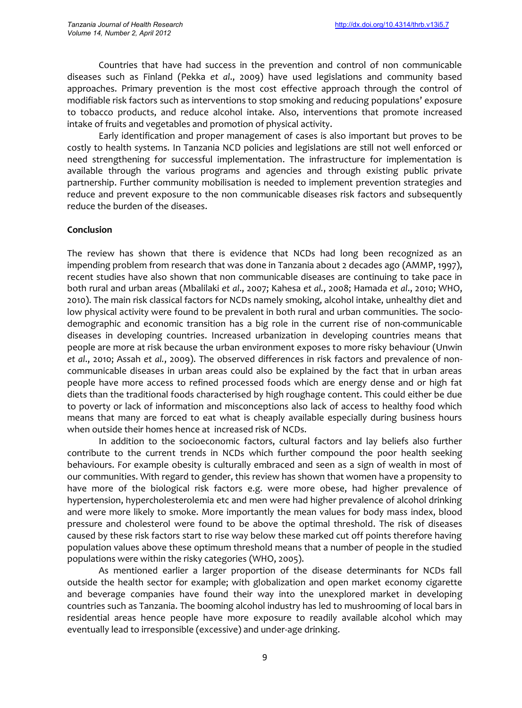Countries that have had success in the prevention and control of non communicable diseases such as Finland (Pekka *et al*., 2009) have used legislations and community based approaches. Primary prevention is the most cost effective approach through the control of modifiable risk factors such as interventions to stop smoking and reducing populations' exposure to tobacco products, and reduce alcohol intake. Also, interventions that promote increased intake of fruits and vegetables and promotion of physical activity.

Early identification and proper management of cases is also important but proves to be costly to health systems. In Tanzania NCD policies and legislations are still not well enforced or need strengthening for successful implementation. The infrastructure for implementation is available through the various programs and agencies and through existing public private partnership. Further community mobilisation is needed to implement prevention strategies and reduce and prevent exposure to the non communicable diseases risk factors and subsequently reduce the burden of the diseases.

#### **Conclusion**

The review has shown that there is evidence that NCDs had long been recognized as an impending problem from research that was done in Tanzania about 2 decades ago (AMMP, 1997), recent studies have also shown that non communicable diseases are continuing to take pace in both rural and urban areas (Mbalilaki *et al*., 2007; Kahesa *et al.*, 2008; Hamada *et al*., 2010; WHO, 2010). The main risk classical factors for NCDs namely smoking, alcohol intake, unhealthy diet and low physical activity were found to be prevalent in both rural and urban communities. The sociodemographic and economic transition has a big role in the current rise of non-communicable diseases in developing countries. Increased urbanization in developing countries means that people are more at risk because the urban environment exposes to more risky behaviour (Unwin *et al*., 2010; Assah *et al.*, 2009). The observed differences in risk factors and prevalence of noncommunicable diseases in urban areas could also be explained by the fact that in urban areas people have more access to refined processed foods which are energy dense and or high fat diets than the traditional foods characterised by high roughage content. This could either be due to poverty or lack of information and misconceptions also lack of access to healthy food which means that many are forced to eat what is cheaply available especially during business hours when outside their homes hence at increased risk of NCDs.

In addition to the socioeconomic factors, cultural factors and lay beliefs also further contribute to the current trends in NCDs which further compound the poor health seeking behaviours. For example obesity is culturally embraced and seen as a sign of wealth in most of our communities. With regard to gender, this review has shown that women have a propensity to have more of the biological risk factors e.g. were more obese, had higher prevalence of hypertension, hypercholesterolemia etc and men were had higher prevalence of alcohol drinking and were more likely to smoke. More importantly the mean values for body mass index, blood pressure and cholesterol were found to be above the optimal threshold. The risk of diseases caused by these risk factors start to rise way below these marked cut off points therefore having population values above these optimum threshold means that a number of people in the studied populations were within the risky categories (WHO, 2005).

As mentioned earlier a larger proportion of the disease determinants for NCDs fall outside the health sector for example; with globalization and open market economy cigarette and beverage companies have found their way into the unexplored market in developing countries such as Tanzania. The booming alcohol industry has led to mushrooming of local bars in residential areas hence people have more exposure to readily available alcohol which may eventually lead to irresponsible (excessive) and under-age drinking.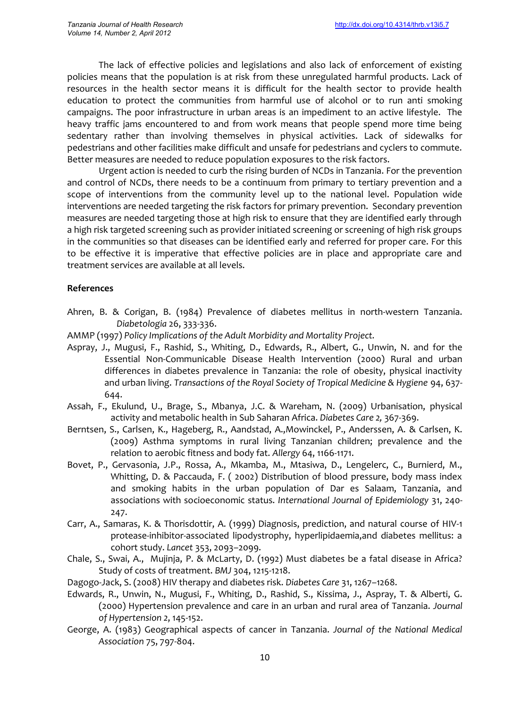The lack of effective policies and legislations and also lack of enforcement of existing policies means that the population is at risk from these unregulated harmful products. Lack of resources in the health sector means it is difficult for the health sector to provide health education to protect the communities from harmful use of alcohol or to run anti smoking campaigns. The poor infrastructure in urban areas is an impediment to an active lifestyle. The heavy traffic jams encountered to and from work means that people spend more time being sedentary rather than involving themselves in physical activities. Lack of sidewalks for pedestrians and other facilities make difficult and unsafe for pedestrians and cyclers to commute. Better measures are needed to reduce population exposures to the risk factors.

Urgent action is needed to curb the rising burden of NCDs in Tanzania. For the prevention and control of NCDs, there needs to be a continuum from primary to tertiary prevention and a scope of interventions from the community level up to the national level. Population wide interventions are needed targeting the risk factors for primary prevention. Secondary prevention measures are needed targeting those at high risk to ensure that they are identified early through a high risk targeted screening such as provider initiated screening or screening of high risk groups in the communities so that diseases can be identified early and referred for proper care. For this to be effective it is imperative that effective policies are in place and appropriate care and treatment services are available at all levels.

#### **References**

- Ahren, B. & Corigan, B. (1984) Prevalence of diabetes mellitus in north-western Tanzania. *Diabetologia* 26, 333-336.
- AMMP (1997) *Policy Implications of the Adult Morbidity and Mortality Project.*
- Aspray, J., Mugusi, F., Rashid, S., Whiting, D., Edwards, R., Albert, G., Unwin, N. and for the Essential Non-Communicable Disease Health Intervention (2000) Rural and urban differences in diabetes prevalence in Tanzania: the role of obesity, physical inactivity and urban living. *Transactions of the Royal Society of Tropical Medicine & Hygiene* 94, 637- 644.
- Assah, F., Ekulund, U., Brage, S., Mbanya, J.C. & Wareham, N. (2009) Urbanisation, physical activity and metabolic health in Sub Saharan Africa. *Diabetes Care 2,* 367-369.
- Berntsen, S., Carlsen, K., Hageberg, R., Aandstad, A.,Mowinckel, P., Anderssen, A. & Carlsen, K. (2009) Asthma symptoms in rural living Tanzanian children; prevalence and the relation to aerobic fitness and body fat. *Allergy* 64, 1166-1171.
- Bovet, P., Gervasonia, J.P., Rossa, A., Mkamba, M., Mtasiwa, D., Lengelerc, C., Burnierd, M., Whitting, D. & Paccauda, F. ( 2002) Distribution of blood pressure, body mass index and smoking habits in the urban population of Dar es Salaam, Tanzania, and associations with socioeconomic status. *International Journal of Epidemiology* 31, 240- 247.
- Carr, A., Samaras, K. & Thorisdottir, A. (1999) Diagnosis, prediction, and natural course of HIV-1 protease-inhibitor-associated lipodystrophy, hyperlipidaemia,and diabetes mellitus: a cohort study. *Lancet* 353, 2093–2099.
- Chale, S., Swai, A., Mujinja, P. & McLarty, D. (1992) Must diabetes be a fatal disease in Africa? Study of costs of treatment. *BMJ* 304, 1215-1218.
- Dagogo-Jack, S. (2008) HIV therapy and diabetes risk. *Diabetes Care* 31, 1267–1268.
- Edwards, R., Unwin, N., Mugusi, F., Whiting, D., Rashid, S., Kissima, J., Aspray, T. & Alberti, G. (2000) Hypertension prevalence and care in an urban and rural area of Tanzania. *Journal of Hypertension 2*, 145-152.
- George, A. (1983) Geographical aspects of cancer in Tanzania. *Journal of the National Medical Association* 75, 797-804.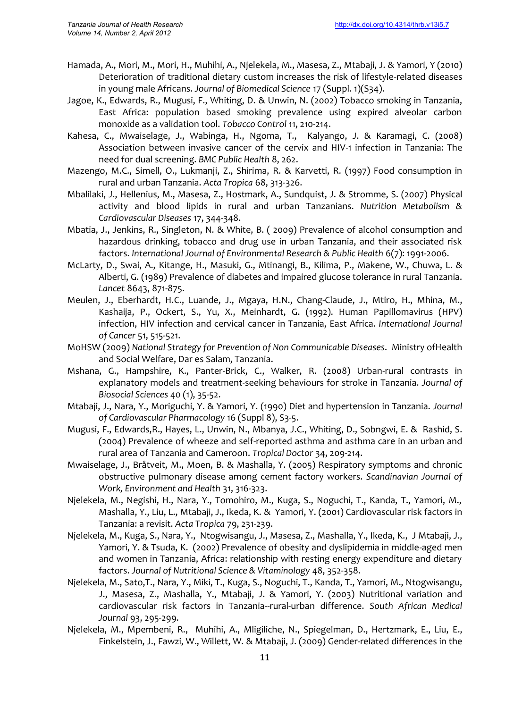- Hamada, A., Mori, M., Mori, H., Muhihi, A., Njelekela, M., Masesa, Z., Mtabaji, J. & Yamori, Y (2010) Deterioration of traditional dietary custom increases the risk of lifestyle-related diseases in young male Africans. *Journal of Biomedical Science* 17 (Suppl. 1)(S34).
- Jagoe, K., Edwards, R., Mugusi, F., Whiting, D. & Unwin, N. (2002) Tobacco smoking in Tanzania, East Africa: population based smoking prevalence using expired alveolar carbon monoxide as a validation tool. *Tobacco Control* 11, 210-214.
- Kahesa, C., Mwaiselage, J., Wabinga, H., Ngoma, T., Kalyango, J. & Karamagi, C. (2008) Association between invasive cancer of the cervix and HIV-1 infection in Tanzania: The need for dual screening. *BMC Public Health* 8, 262.
- Mazengo, M.C., Simell, O., Lukmanji, Z., Shirima, R. & Karvetti, R. (1997) Food consumption in rural and urban Tanzania. *Acta Tropica* 68, 313-326.
- Mbalilaki, J., Hellenius, M., Masesa, Z., Hostmark, A., Sundquist, J. & Stromme, S. (2007) Physical activity and blood lipids in rural and urban Tanzanians. *Nutrition Metabolism & Cardiovascular Diseases* 17, 344-348.
- Mbatia, J., Jenkins, R., Singleton, N. & White, B. ( 2009) Prevalence of alcohol consumption and hazardous drinking, tobacco and drug use in urban Tanzania, and their associated risk factors. *International Journal of Environmental Research & Public Health* 6(7): 1991-2006.
- McLarty, D., Swai, A., Kitange, H., Masuki, G., Mtinangi, B., Kilima, P., Makene, W., Chuwa, L. & Alberti, G. (1989) Prevalence of diabetes and impaired glucose tolerance in rural Tanzania. *Lancet* 8643, 871-875.
- Meulen, J., Eberhardt, H.C., Luande, J., Mgaya, H.N., Chang-Claude, J., Mtiro, H., Mhina, M., Kashaija, P., Ockert, S., Yu, X., Meinhardt, G. (1992). Human Papillomavirus (HPV) infection, HIV infection and cervical cancer in Tanzania, East Africa. *International Journal of Cancer* 51, 515-521.
- MoHSW (2009) *National Strategy for Prevention of Non Communicable Diseases*. Ministry ofHealth and Social Welfare, Dar es Salam, Tanzania.
- Mshana, G., Hampshire, K., Panter-Brick, C., Walker, R. (2008) Urban-rural contrasts in explanatory models and treatment-seeking behaviours for stroke in Tanzania. *Journal of Biosocial Sciences* 40 (1), 35-52.
- Mtabaji, J., Nara, Y., Moriguchi, Y. & Yamori, Y. (1990) Diet and hypertension in Tanzania. *Journal of Cardiovascular Pharmacology* 16 (Suppl 8), S3-5.
- Mugusi, F., Edwards,R., Hayes, L., Unwin, N., Mbanya, J.C., Whiting, D., Sobngwi, E. & Rashid, S. (2004) Prevalence of wheeze and self-reported asthma and asthma care in an urban and rural area of Tanzania and Cameroon. *Tropical Doctor* 34, 209-214.
- Mwaiselage, J., Bråtveit, M., Moen, B. & Mashalla, Y. (2005) Respiratory symptoms and chronic obstructive pulmonary disease among cement factory workers. *Scandinavian Journal of Work, Environment and Health* 31, 316-323.
- Njelekela, M., Negishi, H., Nara, Y., Tomohiro, M., Kuga, S., Noguchi, T., Kanda, T., Yamori, M., Mashalla, Y., Liu, L., Mtabaji, J., Ikeda, K. & Yamori, Y. (2001) Cardiovascular risk factors in Tanzania: a revisit. *Acta Tropica* 79, 231-239.
- Njelekela, M., Kuga, S., Nara, Y., Ntogwisangu, J., Masesa, Z., Mashalla, Y., Ikeda, K., J Mtabaji, J., Yamori, Y. & Tsuda, K. (2002) Prevalence of obesity and dyslipidemia in middle-aged men and women in Tanzania, Africa: relationship with resting energy expenditure and dietary factors. *Journal of Nutritional Science & Vitaminology* 48, 352-358.
- Njelekela, M., Sato,T., Nara, Y., Miki, T., Kuga, S., Noguchi, T., Kanda, T., Yamori, M., Ntogwisangu, J., Masesa, Z., Mashalla, Y., Mtabaji, J. & Yamori, Y. (2003) Nutritional variation and cardiovascular risk factors in Tanzania--rural-urban difference. *South African Medical Journal* 93, 295-299.
- Njelekela, M., Mpembeni, R., Muhihi, A., Mligiliche, N., Spiegelman, D., Hertzmark, E., Liu, E., Finkelstein, J., Fawzi, W., Willett, W. & Mtabaji, J. (2009) Gender-related differences in the